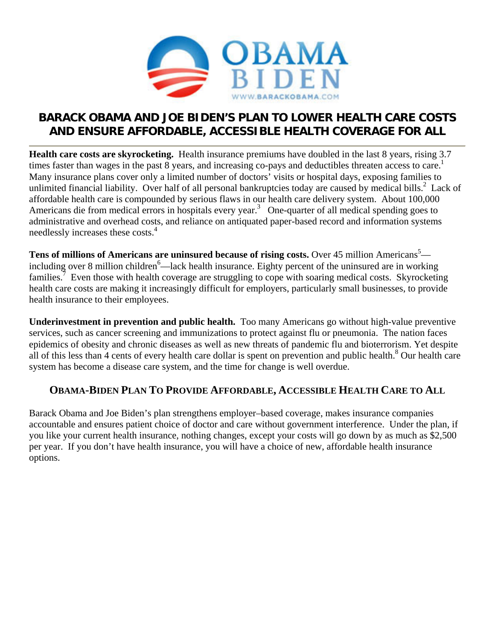

## **BARACK OBAMA AND JOE BIDEN'S PLAN TO LOWER HEALTH CARE COSTS AND ENSURE AFFORDABLE, ACCESSIBLE HEALTH COVERAGE FOR ALL**

**Health care costs are skyrocketing.** Health insurance premiums have doubled in the last 8 years, rising 3.7 times faster than wages in the past  $\overline{8}$  years, and increasing co-pays and deductibles threaten access to care.<sup>1</sup> Many insurance plans cover only a limited number of doctors' visits or hospital days, exposing families to unlimited financial liability. Over half of all personal bankruptcies today are caused by medical bills.<sup>2</sup> Lack of affordable health care is compounded by serious flaws in our health care delivery system. About 100,000 Americans die from medical errors in hospitals every year.<sup>3</sup> One-quarter of all medical spending goes to administrative and overhead costs, and reliance on antiquated paper-based record and information systems needlessly increases these costs.<sup>4</sup>

Tens of millions of Americans are uninsured because of rising costs. Over 45 million Americans<sup>5</sup> including over 8 million children<sup>6</sup>—lack health insurance. Eighty percent of the uninsured are in working families.<sup>7</sup> Even those with health coverage are struggling to cope with soaring medical costs. Skyrocketing health care costs are making it increasingly difficult for employers, particularly small businesses, to provide health insurance to their employees.

**Underinvestment in prevention and public health.** Too many Americans go without high-value preventive services, such as cancer screening and immunizations to protect against flu or pneumonia. The nation faces epidemics of obesity and chronic diseases as well as new threats of pandemic flu and bioterrorism. Yet despite all of this less than 4 cents of every health care dollar is spent on prevention and public health.<sup>8</sup> Our health care system has become a disease care system, and the time for change is well overdue.

## **OBAMA-BIDEN PLAN TO PROVIDE AFFORDABLE, ACCESSIBLE HEALTH CARE TO ALL**

Barack Obama and Joe Biden's plan strengthens employer–based coverage, makes insurance companies accountable and ensures patient choice of doctor and care without government interference. Under the plan, if you like your current health insurance, nothing changes, except your costs will go down by as much as \$2,500 per year. If you don't have health insurance, you will have a choice of new, affordable health insurance options.